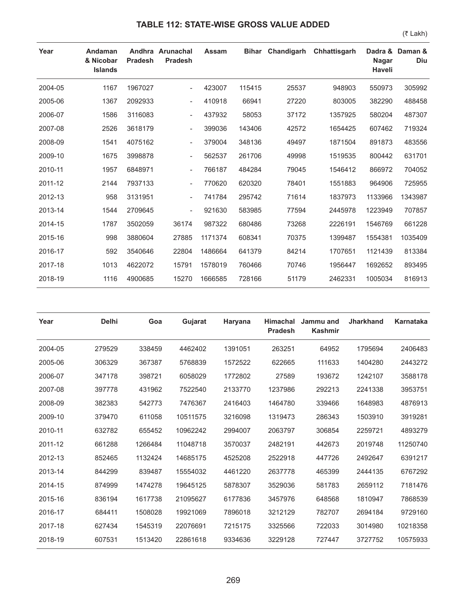## **TABLE 112: STATE-WISE GROSS VALUE ADDED**

**Year Andaman & Nicobar Islands Andhra Arunachal Pradesh Pradesh Assam Bihar Chandigarh Chhattisgarh Nagar Haveli** Dadra & Daman & **Diu** 2004-05 1167 1967027 - 423007 115415 25537 948903 550973 305992 2005-06 1367 2092933 - 410918 66941 27220 803005 382290 488458 2006-07 1586 3116083 - 437932 58053 37172 1357925 580204 487307 2007-08 2526 3618179 - 399036 143406 42572 1654425 607462 719324 2008-09 1541 4075162 - 379004 348136 49497 1871504 891873 483556 2009-10 1675 3998878 - 562537 261706 49998 1519535 800442 631701 2010-11 1957 6848971 - 766187 484284 79045 1546412 866972 704052 2011-12 2144 7937133 - 770620 620320 78401 1551883 964906 725955 2012-13 958 3131951 - 741784 295742 71614 1837973 1133966 1343987 2013-14 1544 2709645 - 921630 583985 77594 2445978 1223949 707857 2014-15 1787 3502059 36174 987322 680486 73268 2226191 1546769 661228 2015-16 998 3880604 27885 1171374 608341 70375 1399487 1554381 1035409 2016-17 592 3540646 22804 1486664 641379 84214 1707651 1121439 813384 2017-18 1013 4622072 15791 1578019 760466 70746 1956447 1692652 893495 2018-19 1116 4900685 15270 1666585 728166 51179 2462331 1005034 816913

| Year    | <b>Delhi</b> | Goa     | Gujarat  | Haryana | Himachal<br><b>Pradesh</b> | Jammu and<br><b>Kashmir</b> | <b>Jharkhand</b> | <b>Karnataka</b> |
|---------|--------------|---------|----------|---------|----------------------------|-----------------------------|------------------|------------------|
| 2004-05 | 279529       | 338459  | 4462402  | 1391051 | 263251                     | 64952                       | 1795694          | 2406483          |
| 2005-06 | 306329       | 367387  | 5768839  | 1572522 | 622665                     | 111633                      | 1404280          | 2443272          |
| 2006-07 | 347178       | 398721  | 6058029  | 1772802 | 27589                      | 193672                      | 1242107          | 3588178          |
| 2007-08 | 397778       | 431962  | 7522540  | 2133770 | 1237986                    | 292213                      | 2241338          | 3953751          |
| 2008-09 | 382383       | 542773  | 7476367  | 2416403 | 1464780                    | 339466                      | 1648983          | 4876913          |
| 2009-10 | 379470       | 611058  | 10511575 | 3216098 | 1319473                    | 286343                      | 1503910          | 3919281          |
| 2010-11 | 632782       | 655452  | 10962242 | 2994007 | 2063797                    | 306854                      | 2259721          | 4893279          |
| 2011-12 | 661288       | 1266484 | 11048718 | 3570037 | 2482191                    | 442673                      | 2019748          | 11250740         |
| 2012-13 | 852465       | 1132424 | 14685175 | 4525208 | 2522918                    | 447726                      | 2492647          | 6391217          |
| 2013-14 | 844299       | 839487  | 15554032 | 4461220 | 2637778                    | 465399                      | 2444135          | 6767292          |
| 2014-15 | 874999       | 1474278 | 19645125 | 5878307 | 3529036                    | 581783                      | 2659112          | 7181476          |
| 2015-16 | 836194       | 1617738 | 21095627 | 6177836 | 3457976                    | 648568                      | 1810947          | 7868539          |
| 2016-17 | 684411       | 1508028 | 19921069 | 7896018 | 3212129                    | 782707                      | 2694184          | 9729160          |
| 2017-18 | 627434       | 1545319 | 22076691 | 7215175 | 3325566                    | 722033                      | 3014980          | 10218358         |
| 2018-19 | 607531       | 1513420 | 22861618 | 9334636 | 3229128                    | 727447                      | 3727752          | 10575933         |

(₹ Lakh)